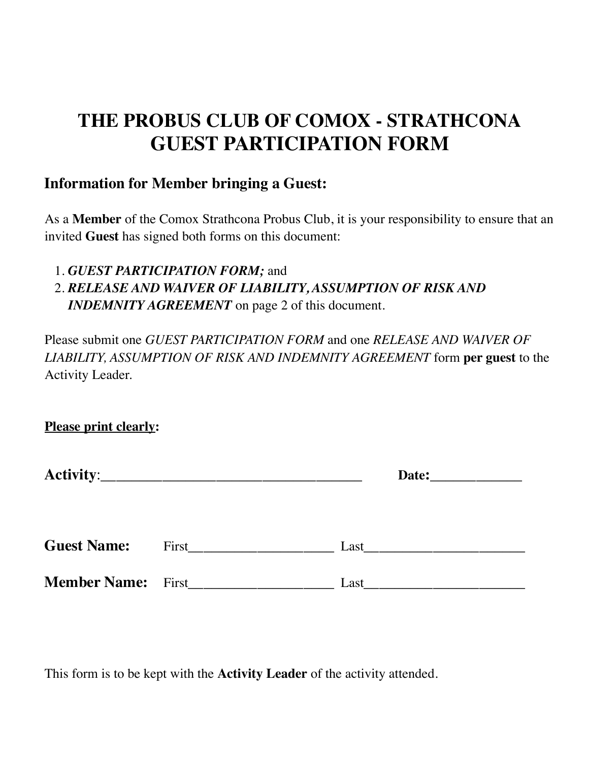# **THE PROBUS CLUB OF COMOX - STRATHCONA GUEST PARTICIPATION FORM**

## **Information for Member bringing a Guest:**

As a **Member** of the Comox Strathcona Probus Club, it is your responsibility to ensure that an invited **Guest** has signed both forms on this document:

1. *GUEST PARTICIPATION FORM;* and

# 2. *RELEASE AND WAIVER OF LIABILITY, ASSUMPTION OF RISK AND INDEMNITY AGREEMENT* on page 2 of this document.

Please submit one *GUEST PARTICIPATION FORM* and one *RELEASE AND WAIVER OF LIABILITY, ASSUMPTION OF RISK AND INDEMNITY AGREEMENT* form **per guest** to the Activity Leader.

**Please print clearly:** 

|                           |       | Date: |
|---------------------------|-------|-------|
| <b>Guest Name:</b>        | First | Last  |
| <b>Member Name:</b> First |       | Last  |

This form is to be kept with the **Activity Leader** of the activity attended.